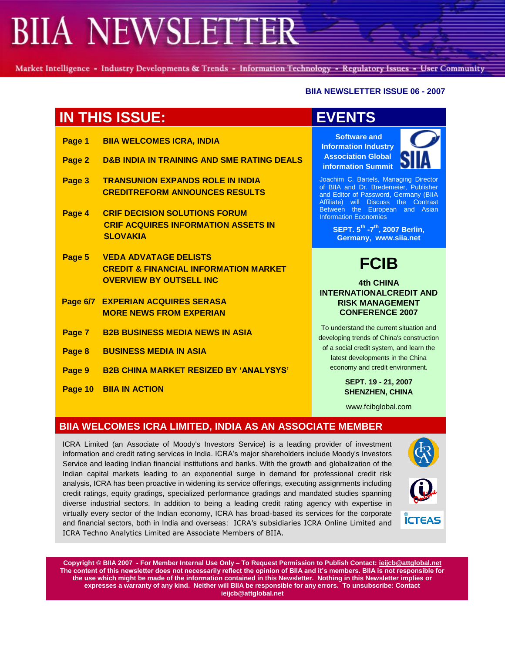Market Intelligence - Industry Developments & Trends - Information Technology - Regulatory Issues - User Community

### **BIIA NEWSLETTER ISSUE 06 - 2007**

# **IN THIS ISSUE: EVENTS**

| Page 1 | <b>BIIA WELCOMES ICRA, INDIA</b>                                                                                   |
|--------|--------------------------------------------------------------------------------------------------------------------|
| Page 2 | D&B INDIA IN TRAINING AND SME RATING DEALS                                                                         |
| Page 3 | <b>TRANSUNION EXPANDS ROLE IN INDIA</b><br><b>CREDITREFORM ANNOUNCES RESULTS</b>                                   |
| Page 4 | <b>CRIF DECISION SOLUTIONS FORUM</b><br><b>CRIF ACQUIRES INFORMATION ASSETS IN</b><br><b>SLOVAKIA</b>              |
| Page 5 | <b>VEDA ADVATAGE DELISTS</b><br><b>CREDIT &amp; FINANCIAL INFORMATION MARKET</b><br><b>OVERVIEW BY OUTSELL INC</b> |
|        | Page 6/7 EXPERIAN ACQUIRES SERASA<br><b>MORE NEWS FROM EXPERIAN</b>                                                |
|        | Page 7 B2B BUSINESS MEDIA NEWS IN ASIA                                                                             |
| Page 8 | <b>BUSINESS MEDIA IN ASIA</b>                                                                                      |

- **Page 9 B2B CHINA MARKET RESIZED BY "ANALYSYS"**
- **Page 10 BIIA IN ACTION**

**Software and Information Industry Association Global information Summit**



Joachim C. Bartels, Managing Director of BIIA and Dr. Bredemeier, Publisher and Editor of Password, Germany (BIIA Affiliate) will Discuss the Contrast Between the European and Asian Information Economies

> **SEPT. 5 th -7 th, 2007 Berlin, Germany, www.siia.net**

# **FCIB**

### **4th CHINA INTERNATIONALCREDIT AND RISK MANAGEMENT CONFERENCE 2007**

To understand the current situation and developing trends of China's construction of a social credit system, and learn the latest developments in the China economy and credit environment.

> **SEPT. 19 - 21, 2007 SHENZHEN, CHINA**

www.fcibglobal.com

## **BIIA WELCOMES ICRA LIMITED, INDIA AS AN ASSOCIATE MEMBER**

ICRA Limited (an Associate of Moody's Investors Service) is a leading provider of investment information and credit rating services in India. ICRA's major shareholders include Moody's Investors Service and leading Indian financial institutions and banks. With the growth and globalization of the Indian capital markets leading to an exponential surge in demand for professional credit risk analysis, ICRA has been proactive in widening its service offerings, executing assignments including credit ratings, equity gradings, specialized performance gradings and mandated studies spanning diverse industrial sectors. In addition to being a leading credit rating agency with expertise in virtually every sector of the Indian economy, ICRA has broad-based its services for the corporate and financial sectors, both in India and overseas: ICRA's subsidiaries ICRA Online Limited and ICRA Techno Analytics Limited are Associate Members of BIIA.



**ÍCTEAS**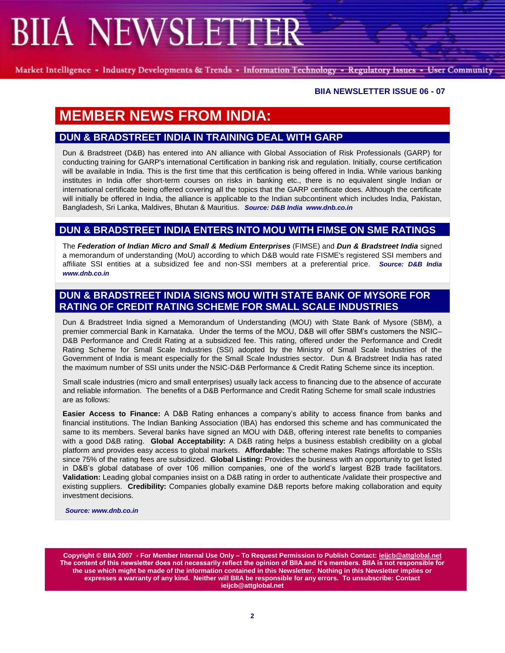Market Intelligence - Industry Developments & Trends - Information Technology - Regulatory Issues - User Community

### **BIIA NEWSLETTER ISSUE 06 - 07**

# **MEMBER NEWS FROM INDIA:**

## **DUN & BRADSTREET INDIA IN TRAINING DEAL WITH GARP**

Dun & Bradstreet (D&B) has entered into AN alliance with Global Association of Risk Professionals (GARP) for conducting training for GARP's international Certification in banking risk and regulation. Initially, course certification will be available in India. This is the first time that this certification is being offered in India. While various banking institutes in India offer short-term courses on risks in banking etc., there is no equivalent single Indian or international certificate being offered covering all the topics that the GARP certificate does. Although the certificate will initially be offered in India, the alliance is applicable to the Indian subcontinent which includes India, Pakistan, Bangladesh, Sri Lanka, Maldives, Bhutan & Mauritius. *Source: D&B India www.dnb.co.in*

## **DUN & BRADSTREET INDIA ENTERS INTO MOU WITH FIMSE ON SME RATINGS**

The *Federation of Indian Micro and Small & Medium Enterprises* (FIMSE) and *Dun & Bradstreet India* signed a memorandum of understanding (MoU) according to which D&B would rate FISME's registered SSI members and affiliate SSI entities at a subsidized fee and non-SSI members at a preferential price. *Source: D&B India www.dnb.co.in*

## **DUN & BRADSTREET INDIA SIGNS MOU WITH STATE BANK OF MYSORE FOR RATING OF CREDIT RATING SCHEME FOR SMALL SCALE INDUSTRIES**

Dun & Bradstreet India signed a Memorandum of Understanding (MOU) with State Bank of Mysore (SBM), a premier commercial Bank in Karnataka. Under the terms of the MOU, D&B will offer SBM's customers the NSIC– D&B Performance and Credit Rating at a subsidized fee. This rating, offered under the Performance and Credit Rating Scheme for Small Scale Industries (SSI) adopted by the Ministry of Small Scale Industries of the Government of India is meant especially for the Small Scale Industries sector. Dun & Bradstreet India has rated the maximum number of SSI units under the NSIC-D&B Performance & Credit Rating Scheme since its inception.

Small scale industries (micro and small enterprises) usually lack access to financing due to the absence of accurate and reliable information. The benefits of a D&B Performance and Credit Rating Scheme for small scale industries are as follows:

**Easier Access to Finance:** A D&B Rating enhances a company's ability to access finance from banks and financial institutions. The Indian Banking Association (IBA) has endorsed this scheme and has communicated the same to its members. Several banks have signed an MOU with D&B, offering interest rate benefits to companies with a good D&B rating. **Global Acceptability:** A D&B rating helps a business establish credibility on a global platform and provides easy access to global markets. **Affordable:** The scheme makes Ratings affordable to SSIs since 75% of the rating fees are subsidized. **Global Listing:** Provides the business with an opportunity to get listed in D&B's global database of over 106 million companies, one of the world's largest B2B trade facilitators. **Validation:** Leading global companies insist on a D&B rating in order to authenticate /validate their prospective and existing suppliers. **Credibility:** Companies globally examine D&B reports before making collaboration and equity investment decisions.

*Source: www.dnb.co.in*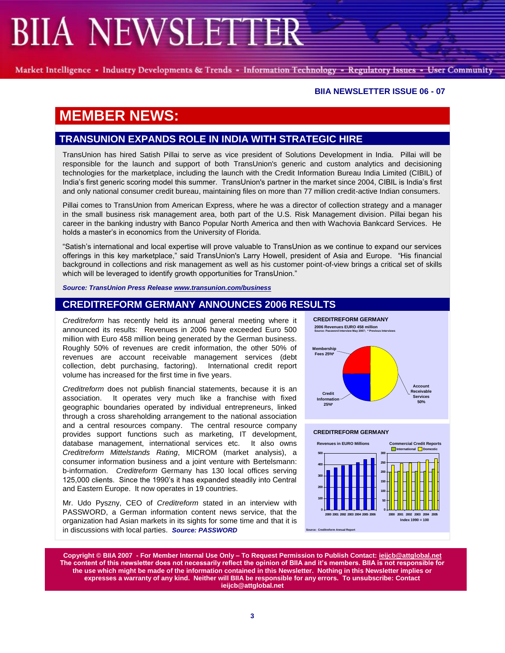Market Intelligence - Industry Developments & Trends - Information Technology - Regulatory Issues - User Community

### **BIIA NEWSLETTER ISSUE 06 - 07**

## **MEMBER NEWS:**

## **TRANSUNION EXPANDS ROLE IN INDIA WITH STRATEGIC HIRE**

TransUnion has hired Satish Pillai to serve as vice president of Solutions Development in India. Pillai will be responsible for the launch and support of both TransUnion's generic and custom analytics and decisioning technologies for the marketplace, including the launch with the Credit Information Bureau India Limited (CIBIL) of India's first generic scoring model this summer. TransUnion's partner in the market since 2004, CIBIL is India's first and only national consumer credit bureau, maintaining files on more than 77 million credit-active Indian consumers.

Pillai comes to TransUnion from American Express, where he was a director of collection strategy and a manager in the small business risk management area, both part of the U.S. Risk Management division. Pillai began his career in the banking industry with Banco Popular North America and then with Wachovia Bankcard Services. He holds a master's in economics from the University of Florida.

―Satish's international and local expertise will prove valuable to TransUnion as we continue to expand our services offerings in this key marketplace," said TransUnion's Larry Howell, president of Asia and Europe. "His financial background in collections and risk management as well as his customer point-of-view brings a critical set of skills which will be leveraged to identify growth opportunities for TransUnion."

*Source: TransUnion Press Release [www.transunion.com/business](../../../../../coneal/Local%20Settings/Temporary%20Internet%20Files/www.transunion.com/business)*

### **CREDITREFORM GERMANY ANNOUNCES 2006 RESULTS**

*Creditreform* has recently held its annual general meeting where it announced its results: Revenues in 2006 have exceeded Euro 500 million with Euro 458 million being generated by the German business. Roughly 50% of revenues are credit information, the other 50% of revenues are account receivable management services (debt collection, debt purchasing, factoring). International credit report volume has increased for the first time in five years.

*Creditreform* does not publish financial statements, because it is an association. It operates very much like a franchise with fixed geographic boundaries operated by individual entrepreneurs, linked through a cross shareholding arrangement to the national association and a central resources company. The central resource company provides support functions such as marketing, IT development, database management, international services etc. It also owns *Creditreform Mittelstands Rating*, MICROM (market analysis), a consumer information business and a joint venture with Bertelsmann: b-information. *Creditreform* Germany has 130 local offices serving 125,000 clients. Since the 1990's it has expanded steadily into Central and Eastern Europe. It now operates in 19 countries.

Mr. Udo Pyszny, CEO of *Creditreform* stated in an interview with PASSWORD, a German information content news service, that the organization had Asian markets in its sights for some time and that it is in discussions with local parties. *Source: PASSWORD* 



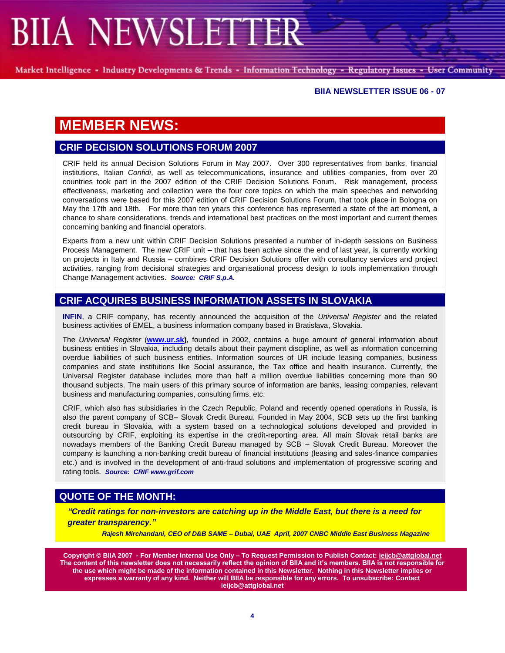Market Intelligence - Industry Developments & Trends - Information Technology - Regulatory Issues - User Community

#### **BIIA NEWSLETTER ISSUE 06 - 07**

# **MEMBER NEWS:**

## **CRIF DECISION SOLUTIONS FORUM 2007**

CRIF held its annual Decision Solutions Forum in May 2007. Over 300 representatives from banks, financial institutions, Italian *Confidi*, as well as telecommunications, insurance and utilities companies, from over 20 countries took part in the 2007 edition of the CRIF Decision Solutions Forum. Risk management, process effectiveness, marketing and collection were the four core topics on which the main speeches and networking conversations were based for this 2007 edition of CRIF Decision Solutions Forum, that took place in Bologna on May the 17th and 18th. For more than ten years this conference has represented a state of the art moment, a chance to share considerations, trends and international best practices on the most important and current themes concerning banking and financial operators.

Experts from a new unit within CRIF Decision Solutions presented a number of in-depth sessions on Business Process Management. The new CRIF unit – that has been active since the end of last year, is currently working on projects in Italy and Russia – combines CRIF Decision Solutions offer with consultancy services and project activities, ranging from decisional strategies and organisational process design to tools implementation through Change Management activities. *Source: CRIF S.p.A.*

## **CRIF ACQUIRES BUSINESS INFORMATION ASSETS IN SLOVAKIA**

**INFIN**, a CRIF company, has recently announced the acquisition of the *Universal Register* and the related business activities of EMEL, a business information company based in Bratislava, Slovakia.

The *Universal Register* (**[www.ur.sk\)](http://www.ur.sk/)**, founded in 2002, contains a huge amount of general information about business entities in Slovakia, including details about their payment discipline, as well as information concerning overdue liabilities of such business entities. Information sources of UR include leasing companies, business companies and state institutions like Social assurance, the Tax office and health insurance. Currently, the Universal Register database includes more than half a million overdue liabilities concerning more than 90 thousand subjects. The main users of this primary source of information are banks, leasing companies, relevant business and manufacturing companies, consulting firms, etc.

CRIF, which also has subsidiaries in the Czech Republic, Poland and recently opened operations in Russia, is also the parent company of SCB– Slovak Credit Bureau. Founded in May 2004, SCB sets up the first banking credit bureau in Slovakia, with a system based on a technological solutions developed and provided in outsourcing by CRIF, exploiting its expertise in the credit-reporting area. All main Slovak retail banks are nowadays members of the Banking Credit Bureau managed by SCB – Slovak Credit Bureau. Moreover the company is launching a non-banking credit bureau of financial institutions (leasing and sales-finance companies etc.) and is involved in the development of anti-fraud solutions and implementation of progressive scoring and rating tools. *Source: CRIF www.grif.com*

## **QUOTE OF THE MONTH:**

*"Credit ratings for non-investors are catching up in the Middle East, but there is a need for greater transparency."*

 *Rajesh Mirchandani, CEO of D&B SAME – Dubai, UAE April, 2007 CNBC Middle East Business Magazine*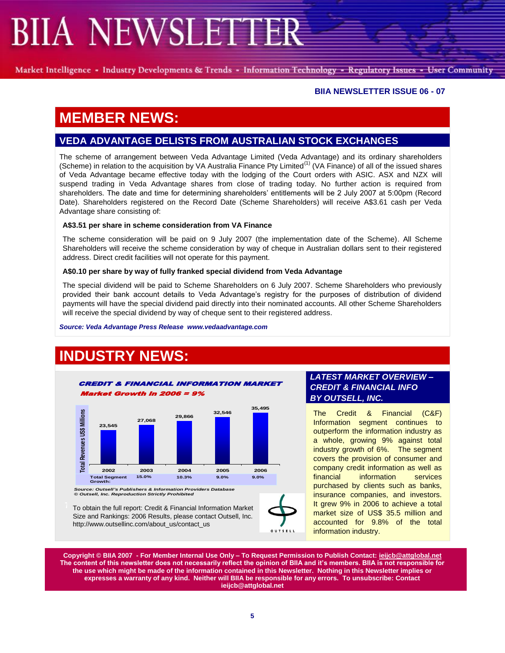Market Intelligence - Industry Developments & Trends - Information Technology - Regulatory Issues - User Community

### **BIIA NEWSLETTER ISSUE 06 - 07**

# **MEMBER NEWS:**

## **VEDA ADVANTAGE DELISTS FROM AUSTRALIAN STOCK EXCHANGES**

The scheme of arrangement between Veda Advantage Limited (Veda Advantage) and its ordinary shareholders (Scheme) in relation to the acquisition by VA Australia Finance Pty Limited<sup>(1)</sup> (VA Finance) of all of the issued shares of Veda Advantage became effective today with the lodging of the Court orders with ASIC. ASX and NZX will suspend trading in Veda Advantage shares from close of trading today. No further action is required from shareholders. The date and time for determining shareholders' entitlements will be 2 July 2007 at 5:00pm (Record Date). Shareholders registered on the Record Date (Scheme Shareholders) will receive A\$3.61 cash per Veda Advantage share consisting of:

#### **A\$3.51 per share in scheme consideration from VA Finance**

The scheme consideration will be paid on 9 July 2007 (the implementation date of the Scheme). All Scheme Shareholders will receive the scheme consideration by way of cheque in Australian dollars sent to their registered address. Direct credit facilities will not operate for this payment.

#### **A\$0.10 per share by way of fully franked special dividend from Veda Advantage**

The special dividend will be paid to Scheme Shareholders on 6 July 2007. Scheme Shareholders who previously provided their bank account details to Veda Advantage's registry for the purposes of distribution of dividend payments will have the special dividend paid directly into their nominated accounts. All other Scheme Shareholders will receive the special dividend by way of cheque sent to their registered address.

*Source: Veda Advantage Press Release www.vedaadvantage.com*

# **INDUSTRY NEWS:**



Size and Rankings: 2006 Results, please contact Outsell, Inc. http://www.outsellinc.com/about\_us/contact\_us

### *LATEST MARKET OVERVIEW – CREDIT & FINANCIAL INFO BY OUTSELL, INC.*

The Credit & Financial (C&F) Information segment continues to outperform the information industry as a whole, growing 9% against total industry growth of 6%. The segment covers the provision of consumer and company credit information as well as financial information services purchased by clients such as banks, insurance companies, and investors. It grew 9% in 2006 to achieve a total market size of US\$ 35.5 million and accounted for 9.8% of the total information industry.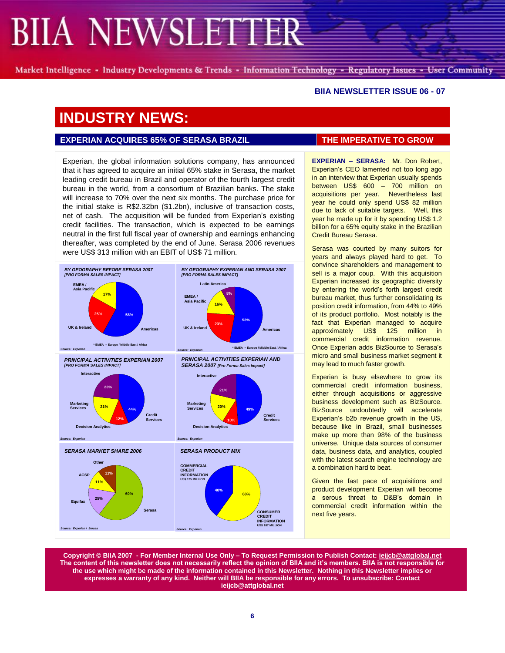Market Intelligence - Industry Developments & Trends - Information Technology - Regulatory Issues - User Community

#### **BIIA NEWSLETTER ISSUE 06 - 07**

# **INDUSTRY NEWS:**

### **EXPERIAN ACQUIRES 65% OF SERASA BRAZIL THE IMPERATIVE TO GROW**

Experian, the global information solutions company, has announced that it has agreed to acquire an initial 65% stake in Serasa, the market leading credit bureau in Brazil and operator of the fourth largest credit bureau in the world, from a consortium of Brazilian banks. The stake will increase to 70% over the next six months. The purchase price for the initial stake is R\$2.32bn (\$1.2bn), inclusive of transaction costs, net of cash. The acquisition will be funded from Experian's existing credit facilities. The transaction, which is expected to be earnings neutral in the first full fiscal year of ownership and earnings enhancing thereafter, was completed by the end of June. Serasa 2006 revenues were US\$ 313 million with an EBIT of US\$ 71 million.



**EXPERIAN – SERASA:** Mr. Don Robert, Experian's CEO lamented not too long ago in an interview that Experian usually spends between US\$ 600 – 700 million on acquisitions per year. Nevertheless last year he could only spend US\$ 82 million due to lack of suitable targets. Well, this year he made up for it by spending US\$ 1.2 billion for a 65% equity stake in the Brazilian Credit Bureau Serasa.

Serasa was courted by many suitors for years and always played hard to get. To convince shareholders and management to sell is a major coup. With this acquisition Experian increased its geographic diversity by entering the world's forth largest credit bureau market, thus further consolidating its position credit information, from 44% to 49% of its product portfolio. Most notably is the fact that Experian managed to acquire approximately US\$ 125 million in commercial credit information revenue. Once Experian adds BizSource to Serasa's micro and small business market segment it may lead to much faster growth.

Experian is busy elsewhere to grow its commercial credit information business, either through acquisitions or aggressive business development such as BizSource. BizSource undoubtedly will accelerate Experian's b2b revenue growth in the US, because like in Brazil, small businesses make up more than 98% of the business universe. Unique data sources of consumer data, business data, and analytics, coupled with the latest search engine technology are a combination hard to beat.

Given the fast pace of acquisitions and product development Experian will become a serous threat to D&B's domain in commercial credit information within the next five years.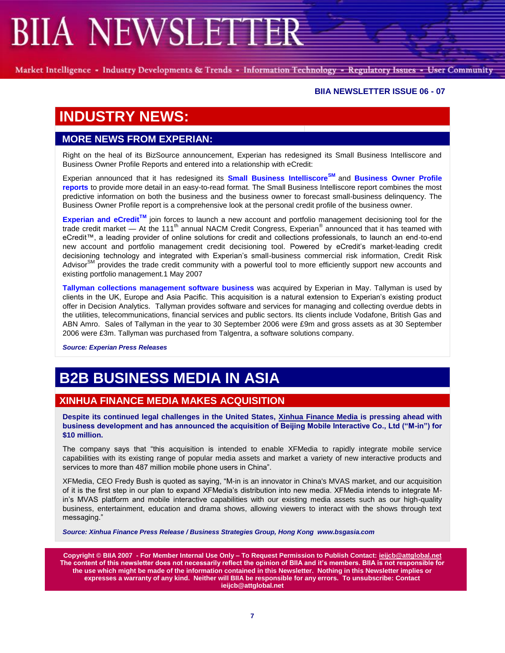Market Intelligence - Industry Developments & Trends - Information Technology - Regulatory Issues - User Community

### **BIIA NEWSLETTER ISSUE 06 - 07**

# **INDUSTRY NEWS:**

## **MORE NEWS FROM EXPERIAN:**

Right on the heal of its BizSource announcement, Experian has redesigned its Small Business Intelliscore and Business Owner Profile Reports and entered into a relationship with eCredit:

Experian announced that it has redesigned its **Small Business IntelliscoreSM** and **Business Owner Profile reports** to provide more detail in an easy-to-read format. The Small Business Intelliscore report combines the most predictive information on both the business and the business owner to forecast small-business delinquency. The Business Owner Profile report is a comprehensive look at the personal credit profile of the business owner.

**Experian and eCreditTM** join forces to launch a new account and portfolio management decisioning tool for the trade credit market — At the 111<sup>th</sup> annual NACM Credit Congress, Experian<sup>®</sup> announced that it has teamed with eCredit™, a leading provider of online solutions for credit and collections professionals, to launch an end-to-end new account and portfolio management credit decisioning tool. Powered by eCredit's market-leading credit decisioning technology and integrated with Experian's small-business commercial risk information, Credit Risk Advisor<sup>SM</sup> provides the trade credit community with a powerful tool to more efficiently support new accounts and existing portfolio management.1 May 2007

**Tallyman collections management software business** was acquired by Experian in May. Tallyman is used by clients in the UK, Europe and Asia Pacific. This acquisition is a natural extension to Experian's existing product offer in Decision Analytics. Tallyman provides software and services for managing and collecting overdue debts in the utilities, telecommunications, financial services and public sectors. Its clients include Vodafone, British Gas and ABN Amro. Sales of Tallyman in the year to 30 September 2006 were £9m and gross assets as at 30 September 2006 were £3m. Tallyman was purchased from Talgentra, a software solutions company.

*Source: Experian Press Releases*

# **B2B BUSINESS MEDIA IN ASIA**

## **XINHUA FINANCE MEDIA MAKES ACQUISITION**

**Despite its continued legal challenges in the United States, Xinhua Finance Media is pressing ahead with business development and has announced the acquisition of Beijing Mobile Interactive Co., Ltd ("M-in") for \$10 million.** 

The company says that "this acquisition is intended to enable XFMedia to rapidly integrate mobile service capabilities with its existing range of popular media assets and market a variety of new interactive products and services to more than 487 million mobile phone users in China".

XFMedia, CEO Fredy Bush is quoted as saying, "M-in is an innovator in China's MVAS market, and our acquisition of it is the first step in our plan to expand XFMedia's distribution into new media. XFMedia intends to integrate Min's MVAS platform and mobile interactive capabilities with our existing media assets such as our high-quality business, entertainment, education and drama shows, allowing viewers to interact with the shows through text messaging."

*Source: Xinhua Finance Press Release / Business Strategies Group, Hong Kong www.bsgasia.com*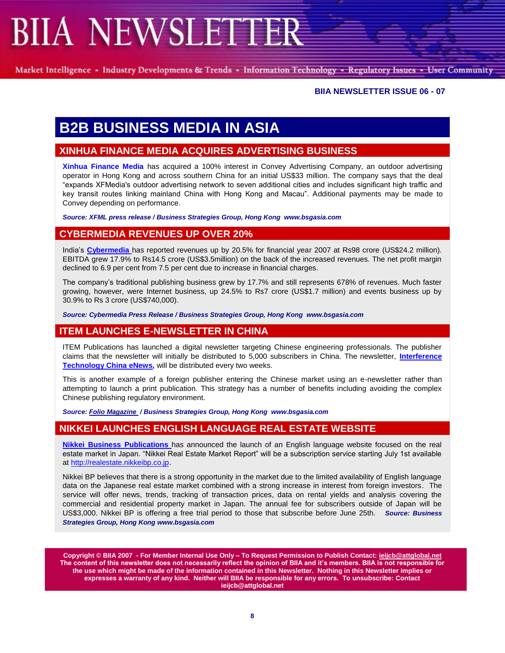Market Intelligence - Industry Developments & Trends - Information Technology - Regulatory Issues - User Community

#### **BIIA NEWSLETTER ISSUE 06 - 07**

# **B2B BUSINESS MEDIA IN ASIA**

## **XINHUA FINANCE MEDIA ACQUIRES ADVERTISING BUSINESS**

**Xinhua Finance Media** has acquired a 100% interest in Convey Advertising Company, an outdoor advertising operator in Hong Kong and across southern China for an initial US\$33 million. The company says that the deal ―expands XFMedia's outdoor advertising network to seven additional cities and includes significant high traffic and key transit routes linking mainland China with Hong Kong and Macau". Additional payments may be made to Convey depending on performance.

*Source: XFML press release / Business Strategies Group, Hong Kong www.bsgasia.com*

### **CYBERMEDIA REVENUES UP OVER 20%**

India's **Cybermedia** has reported revenues up by 20.5% for financial year 2007 at Rs98 crore (US\$24.2 million). EBITDA grew 17.9% to Rs14.5 crore (US\$3.5million) on the back of the increased revenues. The net profit margin declined to 6.9 per cent from 7.5 per cent due to increase in financial charges.

The company's traditional publishing business grew by 17.7% and still represents 678% of revenues. Much faster growing, however, were Internet business, up 24.5% to Rs7 crore (US\$1.7 million) and events business up by 30.9% to Rs 3 crore (US\$740,000).

*Source: Cybermedia Press Release / Business Strategies Group, Hong Kong www.bsgasia.com*

### **ITEM LAUNCHES E-NEWSLETTER IN CHINA**

ITEM Publications has launched a digital newsletter targeting Chinese engineering professionals. The publisher claims that the newsletter will initially be distributed to 5,000 subscribers in China. The newsletter, **Interference Technology China eNews,** will be distributed every two weeks.

This is another example of a foreign publisher entering the Chinese market using an e-newsletter rather than attempting to launch a print publication. This strategy has a number of benefits including avoiding the complex Chinese publishing regulatory environment.

*Source: Folio Magazine / Business Strategies Group, Hong Kong www.bsgasia.com*

## **NIKKEI LAUNCHES ENGLISH LANGUAGE REAL ESTATE WEBSITE**

**Nikkei Business Publications** has announced the launch of an English language website focused on the real estate market in Japan. "Nikkei Real Estate Market Report" will be a subscription service starting July 1st available at http://realestate.nikkeibp.co.jp.

Nikkei BP believes that there is a strong opportunity in the market due to the limited availability of English language data on the Japanese real estate market combined with a strong increase in interest from foreign investors. The service will offer news, trends, tracking of transaction prices, data on rental yields and analysis covering the commercial and residential property market in Japan. The annual fee for subscribers outside of Japan will be US\$3,000. Nikkei BP is offering a free trial period to those that subscribe before June 25th. *Source: Business Strategies Group, Hong Kong www.bsgasia.com*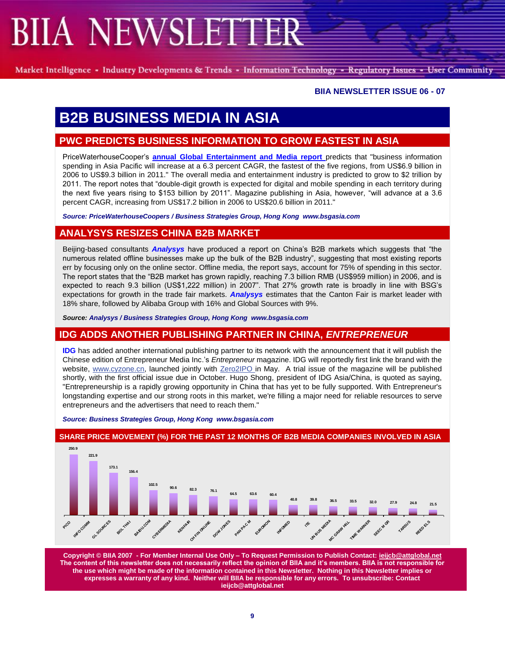Market Intelligence - Industry Developments & Trends - Information Technology - Regulatory Issues - User Community

### **BIIA NEWSLETTER ISSUE 06 - 07**

# **B2B BUSINESS MEDIA IN ASIA**

## **PWC PREDICTS BUSINESS INFORMATION TO GROW FASTEST IN ASIA**

PriceWaterhouseCooper's **annual Global Entertainment and Media report** predicts that "business information spending in Asia Pacific will increase at a 6.3 percent CAGR, the fastest of the five regions, from US\$6.9 billion in 2006 to US\$9.3 billion in 2011." The overall media and entertainment industry is predicted to grow to \$2 trillion by 2011. The report notes that "double-digit growth is expected for digital and mobile spending in each territory during the next five years rising to \$153 billion by 2011". Magazine publishing in Asia, however, "will advance at a 3.6 percent CAGR, increasing from US\$17.2 billion in 2006 to US\$20.6 billion in 2011."

*Source: PriceWaterhouseCoopers / Business Strategies Group, Hong Kong www.bsgasia.com*

## **ANALYSYS RESIZES CHINA B2B MARKET**

Beijing-based consultants **Analysys** have produced a report on China's B2B markets which suggests that "the numerous related offline businesses make up the bulk of the B2B industry", suggesting that most existing reports err by focusing only on the online sector. Offline media, the report says, account for 75% of spending in this sector. The report states that the "B2B market has grown rapidly, reaching 7.3 billion RMB (US\$959 million) in 2006, and is expected to reach 9.3 billion (US\$1,222 million) in 2007". That 27% growth rate is broadly in line with BSG's expectations for growth in the trade fair markets. *Analysys* estimates that the Canton Fair is market leader with 18% share, followed by Alibaba Group with 16% and Global Sources with 9%.

*Source: Analysys / Business Strategies Group, Hong Kong www.bsgasia.com*

## **IDG ADDS ANOTHER PUBLISHING PARTNER IN CHINA,** *ENTREPRENEUR*

**IDG** has added another international publishing partner to its network with the announcement that it will publish the Chinese edition of Entrepreneur Media Inc.'s *Entrepreneur* magazine. IDG will reportedly first link the brand with the website, www.cyzone.cn, launched jointly with Zero2IPO in May. A trial issue of the magazine will be published shortly, with the first official issue due in October. Hugo Shong, president of IDG Asia/China, is quoted as saying, "Entrepreneurship is a rapidly growing opportunity in China that has yet to be fully supported. With Entrepreneur's longstanding expertise and our strong roots in this market, we're filling a major need for reliable resources to serve entrepreneurs and the advertisers that need to reach them."

*Source: Business Strategies Group, Hong Kong www.bsgasia.com*



#### **SHARE PRICE MOVEMENT (%) FOR THE PAST 12 MONTHS OF B2B MEDIA COMPANIES INVOLVED IN ASIA**